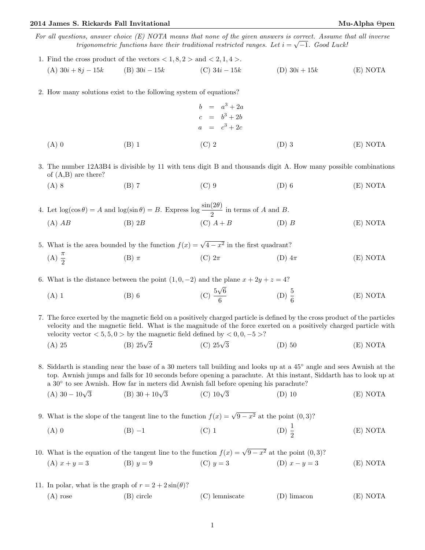## 2014 James S. Rickards Fall Invitational Mu-Alpha Θpen

For all questions, answer choice  $(E)$  NOTA means that none of the given answers is correct. Assume that all inverse trigonometric functions have their traditional restricted ranges. Let  $i = \sqrt{-1}$ . Good Luck!

- 1. Find the cross product of the vectors  $\langle 1, 8, 2 \rangle$  and  $\langle 2, 1, 4 \rangle$ . (A)  $30i + 8j - 15k$  (B)  $30i - 15k$  (C)  $34i - 15k$  (D)  $30i + 15k$  (E) NOTA
- 2. How many solutions exist to the following system of equations?
	- $b = a^3 + 2a$  $c = b^3 + 2b$  $a = c^3 + 2c$ (A) 0 (B) 1 (C) 2 (D) 3 (E) NOTA

3. The number 12A3B4 is divisible by 11 with tens digit B and thousands digit A. How many possible combinations of (A,B) are there?

(A) 8 (B) 7 (C) 9 (D) 6 (E) NOTA

4. Let  $\log(\cos \theta) = A$  and  $\log(\sin \theta) = B$ . Express  $\log \frac{\sin(2\theta)}{2}$  in terms of A and B. (A)  $AB$  (B)  $2B$  (C)  $A + B$  (D) B (E) NOTA

5. What is the area bounded by the function  $f(x) = \sqrt{4 - x^2}$  in the first quadrant? (A)  $\frac{\pi}{2}$ (B)  $\pi$  (C)  $2\pi$  (D)  $4\pi$  (E) NOTA

6. What is the distance between the point  $(1, 0, -2)$  and the plane  $x + 2y + z = 4$ ? √

(A) 1 (B) 6 (C)  $\frac{5}{5}$ 6 6 (D)  $\frac{5}{6}$ (E) NOTA

7. The force exerted by the magnetic field on a positively charged particle is defined by the cross product of the particles velocity and the magnetic field. What is the magnitude of the force exerted on a positively charged particle with velocity vector  $< 5, 5, 0 >$  by the magnetic field defined by  $< 0, 0, -5 >$ ?

(A) 25 (B)  $25\sqrt{2}$ (C)  $25\sqrt{3}$ (D) 50 (E) NOTA

8. Siddarth is standing near the base of a 30 meters tall building and looks up at a 45◦ angle and sees Awnish at the top. Awnish jumps and falls for 10 seconds before opening a parachute. At this instant, Siddarth has to look up at a 30◦ to see Awnish. How far in meters did Awnish fall before opening his parachute?

- (A)  $30 10\sqrt{3}$ (B)  $30 + 10\sqrt{3}$  $(C)$  10 $\sqrt{3}$ (D) 10 (E) NOTA
- 9. What is the slope of the tangent line to the function  $f(x) = \sqrt{9 x^2}$  at the point  $(0, 3)$ ?
	- (A) 0 (B) −1 (C) 1 (D)  $\frac{1}{2}$ (D)  $\frac{1}{2}$ (E) NOTA

10. What is the equation of the tangent line to the function  $f(x) = \sqrt{9 - x^2}$  at the point  $(0, 3)$ ? (A)  $x + y = 3$  (B)  $y = 9$  (C)  $y = 3$  (D)  $x - y = 3$  (E) NOTA

- 
- 11. In polar, what is the graph of  $r = 2 + 2 \sin(\theta)$ ?

|  | $(A)$ rose | (B) circle | (C) lemniscate | (D) limacon | (E) NOTA |
|--|------------|------------|----------------|-------------|----------|
|--|------------|------------|----------------|-------------|----------|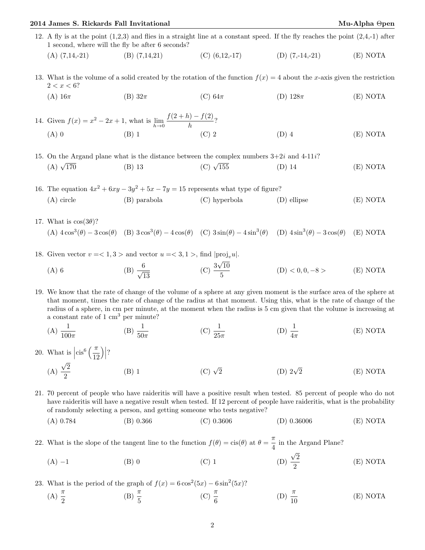## 2014 James S. Rickards Fall Invitational Mu-Alpha Θpen

- 12. A fly is at the point  $(1,2,3)$  and flies in a straight line at a constant speed. If the fly reaches the point  $(2,4,-1)$  after 1 second, where will the fly be after 6 seconds? (A)  $(7,14,-21)$  (B)  $(7,14,21)$  (C)  $(6,12,-17)$  (D)  $(7,-14,-21)$  (E) NOTA
- 13. What is the volume of a solid created by the rotation of the function  $f(x) = 4$  about the x-axis given the restriction  $2 < x < 6?$ 
	- (A)  $16\pi$  (B)  $32\pi$  (C)  $64\pi$  (D)  $128\pi$  (E) NOTA

14. Given  $f(x) = x^2 - 2x + 1$ , what is  $\lim_{h \to 0}$  $f(2+h) - f(2)$  $\frac{b}{h}$ ? (A) 0 (B) 1 (C) 2 (D) 4 (E) NOTA

15. On the Argand plane what is the distance between the complex numbers  $3+2i$  and  $4-11i$ ? (A)  $\sqrt{170}$  $\frac{170}{170}$  (B) 13 (C)  $\sqrt{ }$ (C)  $\sqrt{155}$  (D) 14 (E) NOTA

16. The equation  $4x^2 + 6xy - 3y^2 + 5x - 7y = 15$  represents what type of figure? (A) circle (B) parabola (C) hyperbola (D) ellipse (E) NOTA

- 17. What is  $\cos(3\theta)$ ? (A)  $4\cos^3(\theta) - 3\cos(\theta)$  (B)  $3\cos^3(\theta) - 4\cos(\theta)$  (C)  $3\sin(\theta) - 4\sin^3(\theta)$  (D)  $4\sin^3(\theta) - 3\cos(\theta)$  (E) NOTA
- 18. Given vector  $v = < 1, 3 >$  and vector  $u = < 3, 1 >$ , find  $|proj_v u|$ .

(A) 6 (B) 
$$
\frac{6}{\sqrt{13}}
$$
 (C)  $\frac{3\sqrt{10}}{5}$  (D) < 0,0,-8 > (E) NOTA

19. We know that the rate of change of the volume of a sphere at any given moment is the surface area of the sphere at that moment, times the rate of change of the radius at that moment. Using this, what is the rate of change of the radius of a sphere, in cm per minute, at the moment when the radius is 5 cm given that the volume is increasing at a constant rate of 1 cm<sup>3</sup> per minute?

(A) 
$$
\frac{1}{100\pi}
$$
 \t\t (B)  $\frac{1}{50\pi}$  \t\t (C)  $\frac{1}{25\pi}$  \t\t (D)  $\frac{1}{4\pi}$  \t\t (E) NOTA

20. What is  $\left| \text{cis}^6 \left( \frac{\pi}{12} \right) \right|$ 12  $\Big) \Big| ?$ (A) √ 2 2 (B) 1 (C)  $\sqrt{2}$ (D)  $2\sqrt{2}$ 2 (E) NOTA

21. 70 percent of people who have raideritis will have a positive result when tested. 85 percent of people who do not have raideritis will have a negative result when tested. If 12 percent of people have raideritis, what is the probability of randomly selecting a person, and getting someone who tests negative?

(A) 0.784 (B) 0.366 (C) 0.3606 (D) 0.36006 (E) NOTA

22. What is the slope of the tangent line to the function  $f(\theta) = \text{cis}(\theta)$  at  $\theta = \frac{\pi}{4}$  $\frac{\pi}{4}$  in the Argand Plane? √

 $(A) -1$  (B) 0 (C) 1 (D) 2 2 (E) NOTA

23. What is the period of the graph of  $f(x) = 6\cos^2(5x) - 6\sin^2(5x)$ ?

(A)  $\frac{\pi}{2}$ (B)  $\frac{\pi}{5}$ (C)  $\frac{\pi}{6}$ (D)  $\frac{\pi}{10}$ (E) NOTA